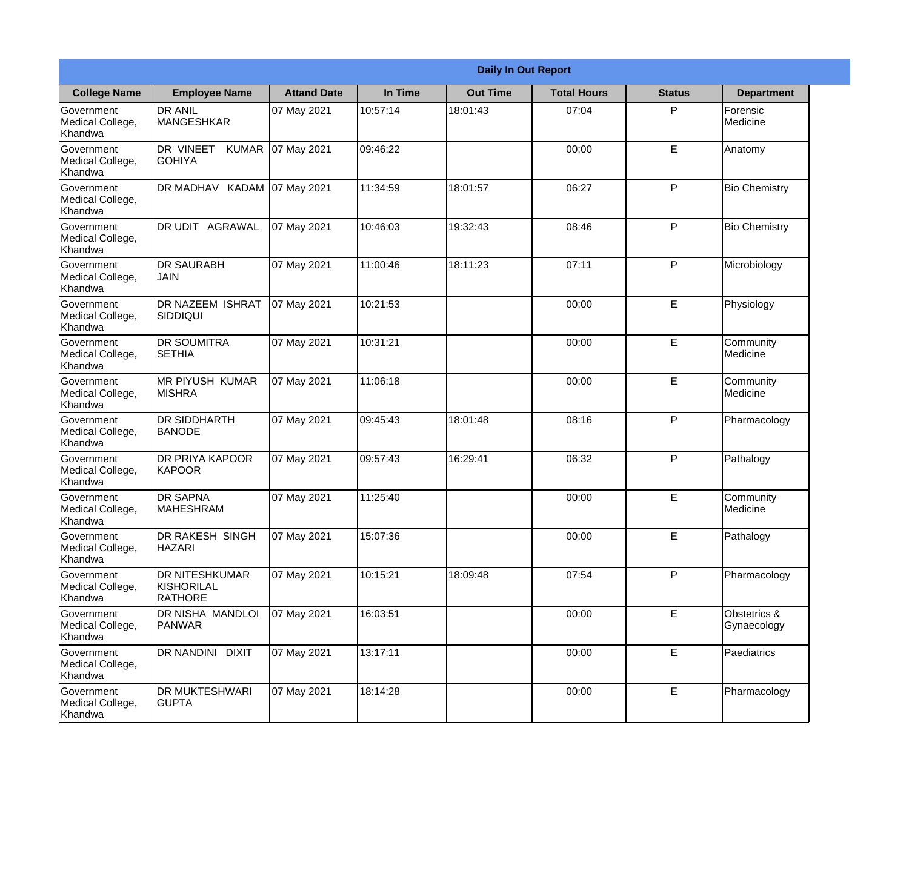|                                                  | <b>Daily In Out Report</b>                                   |                    |          |                 |                    |               |                             |
|--------------------------------------------------|--------------------------------------------------------------|--------------------|----------|-----------------|--------------------|---------------|-----------------------------|
| <b>College Name</b>                              | <b>Employee Name</b>                                         | <b>Attand Date</b> | In Time  | <b>Out Time</b> | <b>Total Hours</b> | <b>Status</b> | <b>Department</b>           |
| Government<br>Medical College,<br>Khandwa        | <b>DR ANIL</b><br>MANGESHKAR                                 | 07 May 2021        | 10:57:14 | 18:01:43        | 07:04              | P             | Forensic<br>Medicine        |
| Government<br>Medical College,<br>Khandwa        | DR VINEET<br><b>KUMAR</b><br><b>GOHIYA</b>                   | 07 May 2021        | 09:46:22 |                 | 00:00              | E             | Anatomy                     |
| Government<br>Medical College,<br>Khandwa        | DR MADHAV KADAM                                              | 07 May 2021        | 11:34:59 | 18:01:57        | 06:27              | P             | <b>Bio Chemistry</b>        |
| <b>Government</b><br>Medical College,<br>Khandwa | <b>DR UDIT AGRAWAL</b>                                       | 07 May 2021        | 10:46:03 | 19:32:43        | 08:46              | P             | <b>Bio Chemistry</b>        |
| Government<br>Medical College,<br>Khandwa        | <b>DR SAURABH</b><br><b>JAIN</b>                             | 07 May 2021        | 11:00:46 | 18:11:23        | 07:11              | $\mathsf{P}$  | Microbiology                |
| Government<br>Medical College,<br>Khandwa        | DR NAZEEM ISHRAT<br>SIDDIQUI                                 | 07 May 2021        | 10:21:53 |                 | 00:00              | E             | Physiology                  |
| <b>Government</b><br>Medical College,<br>Khandwa | <b>DR SOUMITRA</b><br><b>SETHIA</b>                          | 07 May 2021        | 10:31:21 |                 | 00:00              | E             | Community<br>Medicine       |
| Government<br>Medical College,<br>Khandwa        | <b>MR PIYUSH KUMAR</b><br><b>MISHRA</b>                      | 07 May 2021        | 11:06:18 |                 | 00:00              | E             | Community<br>Medicine       |
| Government<br>Medical College,<br>Khandwa        | <b>DR SIDDHARTH</b><br><b>BANODE</b>                         | 07 May 2021        | 09:45:43 | 18:01:48        | 08:16              | $\mathsf{P}$  | Pharmacology                |
| Government<br>Medical College,<br>Khandwa        | DR PRIYA KAPOOR<br>KAPOOR                                    | 07 May 2021        | 09:57:43 | 16:29:41        | 06:32              | P             | Pathalogy                   |
| Government<br>Medical College,<br>Khandwa        | <b>DR SAPNA</b><br><b>MAHESHRAM</b>                          | 07 May 2021        | 11:25:40 |                 | 00:00              | E             | Community<br>Medicine       |
| Government<br>Medical College,<br>Khandwa        | DR RAKESH SINGH<br><b>HAZARI</b>                             | 07 May 2021        | 15:07:36 |                 | 00:00              | E.            | Pathalogy                   |
| Government<br>Medical College,<br>Khandwa        | <b>DR NITESHKUMAR</b><br><b>KISHORILAL</b><br><b>RATHORE</b> | 07 May 2021        | 10:15:21 | 18:09:48        | 07:54              | P             | Pharmacology                |
| Government<br>Medical College,<br>Khandwa        | DR NISHA MANDLOI<br><b>PANWAR</b>                            | 07 May 2021        | 16:03:51 |                 | 00:00              | $\mathsf E$   | Obstetrics &<br>Gynaecology |
| Government<br>Medical College,<br>Khandwa        | DR NANDINI DIXIT                                             | 07 May 2021        | 13:17:11 |                 | 00:00              | E             | Paediatrics                 |
| Government<br>Medical College,<br>Khandwa        | DR MUKTESHWARI<br><b>GUPTA</b>                               | 07 May 2021        | 18:14:28 |                 | 00:00              | E             | Pharmacology                |